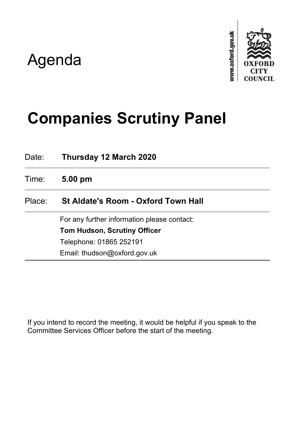## Agenda



# **Companies Scrutiny Panel**

Date: **Thursday 12 March 2020**

Time: **5.00 pm**

## Place: **St Aldate's Room - Oxford Town Hall**

For any further information please contact: **Tom Hudson, Scrutiny Officer** Telephone: 01865 252191 Email: thudson@oxford.gov.uk

If you intend to record the meeting, it would be helpful if you speak to the Committee Services Officer before the start of the meeting.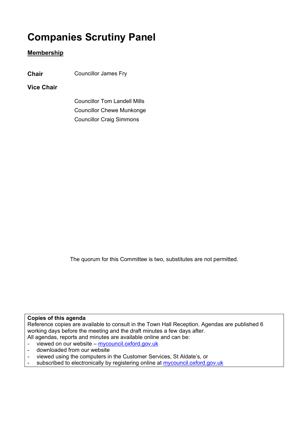## **Companies Scrutiny Panel**

## **Membership**

**Chair** Councillor James Fry

## **Vice Chair**

Councillor Tom Landell Mills Councillor Chewe Munkonge Councillor Craig Simmons

The quorum for this Committee is two, substitutes are not permitted.

### **Copies of this agenda**

Reference copies are available to consult in the Town Hall Reception. Agendas are published 6 working days before the meeting and the draft minutes a few days after. All agendas, reports and minutes are available online and can be:

- viewed on our website [mycouncil.oxford.gov.uk](https://www.oxford.gov.uk/info/20169/council_meetings)
- downloaded from our website
- viewed using the computers in the Customer Services, St Aldate's, or
- subscribed to electronically by registering online at [mycouncil.oxford.gov.uk](http://mycouncil.oxford.gov.uk/ielogon.aspx?lp=1&RPID=2852798&HPID=2852798&Forms=1&META=mgSubscribeLogon)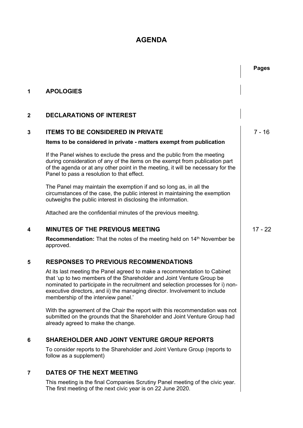## **AGENDA**

|              |                                                                                                                                                                                                                                                                                                                                                           | <b>Pages</b> |
|--------------|-----------------------------------------------------------------------------------------------------------------------------------------------------------------------------------------------------------------------------------------------------------------------------------------------------------------------------------------------------------|--------------|
| 1            | <b>APOLOGIES</b>                                                                                                                                                                                                                                                                                                                                          |              |
| $\mathbf{2}$ | <b>DECLARATIONS OF INTEREST</b>                                                                                                                                                                                                                                                                                                                           |              |
| 3            | <b>ITEMS TO BE CONSIDERED IN PRIVATE</b><br>Items to be considered in private - matters exempt from publication                                                                                                                                                                                                                                           | 7 - 16       |
|              | If the Panel wishes to exclude the press and the public from the meeting<br>during consideration of any of the items on the exempt from publication part<br>of the agenda or at any other point in the meeting, it will be necessary for the<br>Panel to pass a resolution to that effect.                                                                |              |
|              | The Panel may maintain the exemption if and so long as, in all the<br>circumstances of the case, the public interest in maintaining the exemption<br>outweighs the public interest in disclosing the information.                                                                                                                                         |              |
|              | Attached are the confidential minutes of the previous meeitng.                                                                                                                                                                                                                                                                                            |              |
| 4            | <b>MINUTES OF THE PREVIOUS MEETING</b>                                                                                                                                                                                                                                                                                                                    | $17 - 22$    |
|              | Recommendation: That the notes of the meeting held on 14 <sup>th</sup> November be<br>approved.                                                                                                                                                                                                                                                           |              |
| 5            | <b>RESPONSES TO PREVIOUS RECOMMENDATIONS</b>                                                                                                                                                                                                                                                                                                              |              |
|              | At its last meeting the Panel agreed to make a recommendation to Cabinet<br>that 'up to two members of the Shareholder and Joint Venture Group be<br>nominated to participate in the recruitment and selection processes for i) non-<br>executive directors, and ii) the managing director. Involvement to include<br>membership of the interview panel.' |              |
|              | With the agreement of the Chair the report with this recommendation was not<br>submitted on the grounds that the Shareholder and Joint Venture Group had<br>already agreed to make the change.                                                                                                                                                            |              |
| 6            | <b>SHAREHOLDER AND JOINT VENTURE GROUP REPORTS</b>                                                                                                                                                                                                                                                                                                        |              |
|              | To consider reports to the Shareholder and Joint Venture Group (reports to<br>follow as a supplement)                                                                                                                                                                                                                                                     |              |
| 7            | DATES OF THE NEXT MEETING                                                                                                                                                                                                                                                                                                                                 |              |
|              | This meeting is the final Companies Scrutiny Panel meeting of the civic year.<br>The first meeting of the next civic year is on 22 June 2020.                                                                                                                                                                                                             |              |